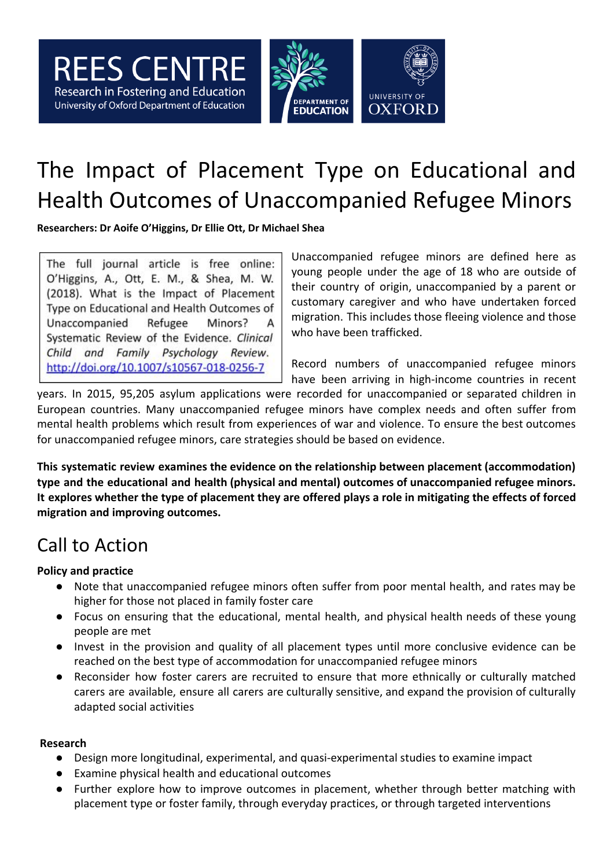

# The Impact of Placement Type on Educational and Health Outcomes of Unaccompanied Refugee Minors

**Researchers: Dr Aoife O'Higgins, Dr Ellie Ott, Dr Michael Shea**

The full journal article is free online: O'Higgins, A., Ott, E. M., & Shea, M. W. (2018). What is the Impact of Placement Type on Educational and Health Outcomes of Unaccompanied Refugee Minors? А Systematic Review of the Evidence. Clinical Child and Family Psychology Review. http://doi.org/10.1007/s10567-018-0256-7

Unaccompanied refugee minors are defined here as young people under the age of 18 who are outside of their country of origin, unaccompanied by a parent or customary caregiver and who have undertaken forced migration. This includes those fleeing violence and those who have been trafficked.

Record numbers of unaccompanied refugee minors have been arriving in high-income countries in recent

years. In 2015, 95,205 asylum applications were recorded for unaccompanied or separated children in European countries. Many unaccompanied refugee minors have complex needs and often suffer from mental health problems which result from experiences of war and violence. To ensure the best outcomes for unaccompanied refugee minors, care strategies should be based on evidence.

**This systematic review examines the evidence on the relationship between placement (accommodation) type and the educational and health (physical and mental) outcomes of unaccompanied refugee minors.** It explores whether the type of placement they are offered plays a role in mitigating the effects of forced **migration and improving outcomes.**

# Call to Action

#### **Policy and practice**

- Note that unaccompanied refugee minors often suffer from poor mental health, and rates may be higher for those not placed in family foster care
- Focus on ensuring that the educational, mental health, and physical health needs of these young people are met
- Invest in the provision and quality of all placement types until more conclusive evidence can be reached on the best type of accommodation for unaccompanied refugee minors
- Reconsider how foster carers are recruited to ensure that more ethnically or culturally matched carers are available, ensure all carers are culturally sensitive, and expand the provision of culturally adapted social activities

#### **Research**

- Design more longitudinal, experimental, and quasi-experimental studies to examine impact
- Examine physical health and educational outcomes
- Further explore how to improve outcomes in placement, whether through better matching with placement type or foster family, through everyday practices, or through targeted interventions